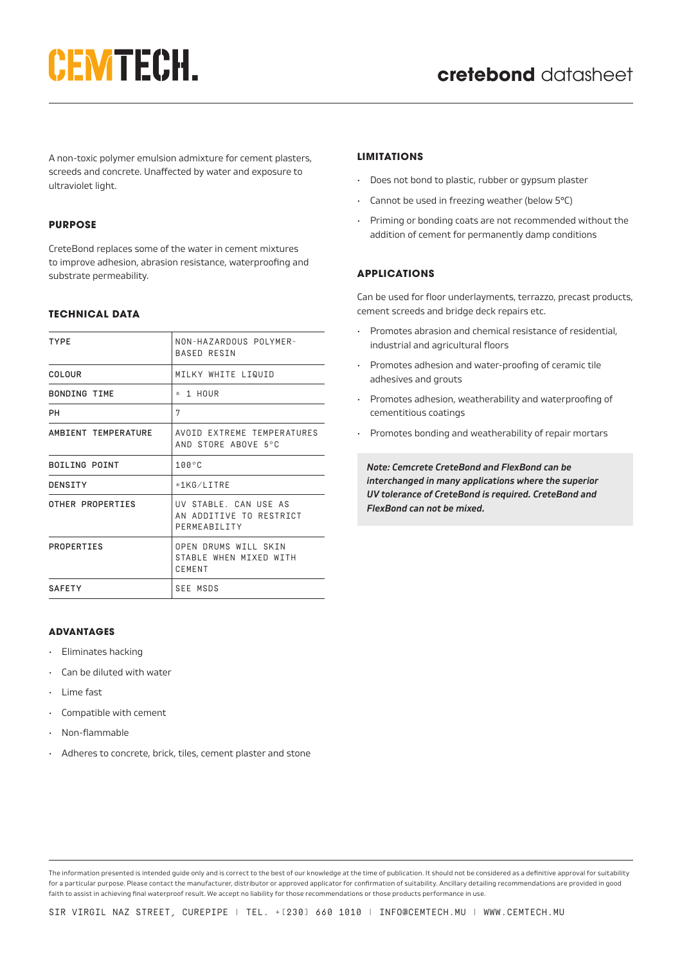# **CEMTECH.**

A non-toxic polymer emulsion admixture for cement plasters, screeds and concrete. Unaffected by water and exposure to ultraviolet light.

# **PURPOSE**

CreteBond replaces some of the water in cement mixtures to improve adhesion, abrasion resistance, waterproofing and substrate permeability.

# **TECHNICAL DATA**

| NON-HAZARDOUS POLYMER-     |
|----------------------------|
|                            |
|                            |
|                            |
| AVOID EXTREME TEMPERATURES |
|                            |
|                            |
| AN ADDITIVE TO RESTRICT    |
| STABLE WHEN MIXED WITH     |
|                            |
|                            |

# **ADVANTAGES**

- Eliminates hacking
- Can be diluted with water
- Lime fast
- Compatible with cement
- Non-flammable
- Adheres to concrete, brick, tiles, cement plaster and stone

## **LIMITATIONS**

- Does not bond to plastic, rubber or gypsum plaster
- Cannot be used in freezing weather (below 5°C)
- Priming or bonding coats are not recommended without the addition of cement for permanently damp conditions

# **APPLICATIONS**

Can be used for floor underlayments, terrazzo, precast products, cement screeds and bridge deck repairs etc.

- Promotes abrasion and chemical resistance of residential, industrial and agricultural floors
- Promotes adhesion and water-proofing of ceramic tile adhesives and grouts
- Promotes adhesion, weatherability and waterproofing of cementitious coatings
- Promotes bonding and weatherability of repair mortars

*Note: Cemcrete CreteBond and FlexBond can be interchanged in many applications where the superior UV tolerance of CreteBond is required. CreteBond and FlexBond can not be mixed.*

The information presented is intended guide only and is correct to the best of our knowledge at the time of publication. It should not be considered as a definitive approval for suitability for a particular purpose. Please contact the manufacturer, distributor or approved applicator for confirmation of suitability. Ancillary detailing recommendations are provided in good faith to assist in achieving final waterproof result. We accept no liability for those recommendations or those products performance in use.